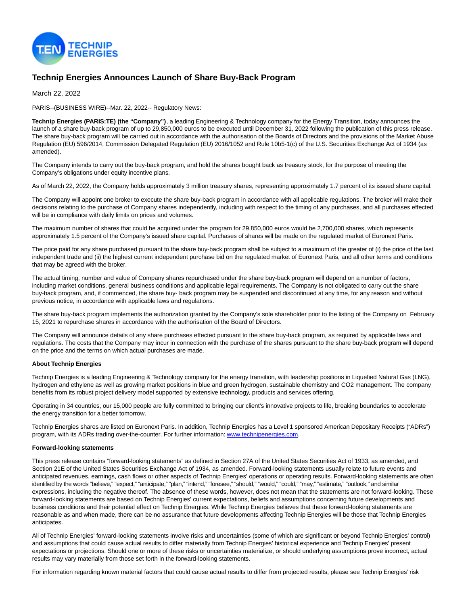

## **Technip Energies Announces Launch of Share Buy-Back Program**

March 22, 2022

PARIS--(BUSINESS WIRE)--Mar. 22, 2022-- Regulatory News:

**Technip Energies (PARIS:TE) (the "Company")**, a leading Engineering & Technology company for the Energy Transition, today announces the launch of a share buy-back program of up to 29,850,000 euros to be executed until December 31, 2022 following the publication of this press release. The share buy-back program will be carried out in accordance with the authorisation of the Boards of Directors and the provisions of the Market Abuse Regulation (EU) 596/2014, Commission Delegated Regulation (EU) 2016/1052 and Rule 10b5-1(c) of the U.S. Securities Exchange Act of 1934 (as amended).

The Company intends to carry out the buy-back program, and hold the shares bought back as treasury stock, for the purpose of meeting the Company's obligations under equity incentive plans.

As of March 22, 2022, the Company holds approximately 3 million treasury shares, representing approximately 1.7 percent of its issued share capital.

The Company will appoint one broker to execute the share buy-back program in accordance with all applicable regulations. The broker will make their decisions relating to the purchase of Company shares independently, including with respect to the timing of any purchases, and all purchases effected will be in compliance with daily limits on prices and volumes.

The maximum number of shares that could be acquired under the program for 29,850,000 euros would be 2,700,000 shares, which represents approximately 1.5 percent of the Company's issued share capital. Purchases of shares will be made on the regulated market of Euronext Paris.

The price paid for any share purchased pursuant to the share buy-back program shall be subject to a maximum of the greater of (i) the price of the last independent trade and (ii) the highest current independent purchase bid on the regulated market of Euronext Paris, and all other terms and conditions that may be agreed with the broker.

The actual timing, number and value of Company shares repurchased under the share buy-back program will depend on a number of factors, including market conditions, general business conditions and applicable legal requirements. The Company is not obligated to carry out the share buy-back program, and, if commenced, the share buy- back program may be suspended and discontinued at any time, for any reason and without previous notice, in accordance with applicable laws and regulations.

The share buy-back program implements the authorization granted by the Company's sole shareholder prior to the listing of the Company on February 15, 2021 to repurchase shares in accordance with the authorisation of the Board of Directors.

The Company will announce details of any share purchases effected pursuant to the share buy-back program, as required by applicable laws and regulations. The costs that the Company may incur in connection with the purchase of the shares pursuant to the share buy-back program will depend on the price and the terms on which actual purchases are made.

## **About Technip Energies**

Technip Energies is a leading Engineering & Technology company for the energy transition, with leadership positions in Liquefied Natural Gas (LNG), hydrogen and ethylene as well as growing market positions in blue and green hydrogen, sustainable chemistry and CO2 management. The company benefits from its robust project delivery model supported by extensive technology, products and services offering.

Operating in 34 countries, our 15,000 people are fully committed to bringing our client's innovative projects to life, breaking boundaries to accelerate the energy transition for a better tomorrow.

Technip Energies shares are listed on Euronext Paris. In addition, Technip Energies has a Level 1 sponsored American Depositary Receipts ("ADRs") program, with its ADRs trading over-the-counter. For further information[: www.technipenergies.com.](https://cts.businesswire.com/ct/CT?id=smartlink&url=http%3A%2F%2Fwww.technipenergies.com&esheet=52614340&newsitemid=20220322006046&lan=en-US&anchor=www.technipenergies.com&index=1&md5=0e7d8ea7e12aa2da93bebe2566fee896)

## **Forward-looking statements**

This press release contains "forward-looking statements" as defined in Section 27A of the United States Securities Act of 1933, as amended, and Section 21E of the United States Securities Exchange Act of 1934, as amended. Forward-looking statements usually relate to future events and anticipated revenues, earnings, cash flows or other aspects of Technip Energies' operations or operating results. Forward-looking statements are often identified by the words "believe," "expect," "anticipate," "plan," "intend," "foresee," "should," "would," "could," "may," "estimate," "outlook," and similar expressions, including the negative thereof. The absence of these words, however, does not mean that the statements are not forward-looking. These forward-looking statements are based on Technip Energies' current expectations, beliefs and assumptions concerning future developments and business conditions and their potential effect on Technip Energies. While Technip Energies believes that these forward-looking statements are reasonable as and when made, there can be no assurance that future developments affecting Technip Energies will be those that Technip Energies anticipates.

All of Technip Energies' forward-looking statements involve risks and uncertainties (some of which are significant or beyond Technip Energies' control) and assumptions that could cause actual results to differ materially from Technip Energies' historical experience and Technip Energies' present expectations or projections. Should one or more of these risks or uncertainties materialize, or should underlying assumptions prove incorrect, actual results may vary materially from those set forth in the forward-looking statements.

For information regarding known material factors that could cause actual results to differ from projected results, please see Technip Energies' risk